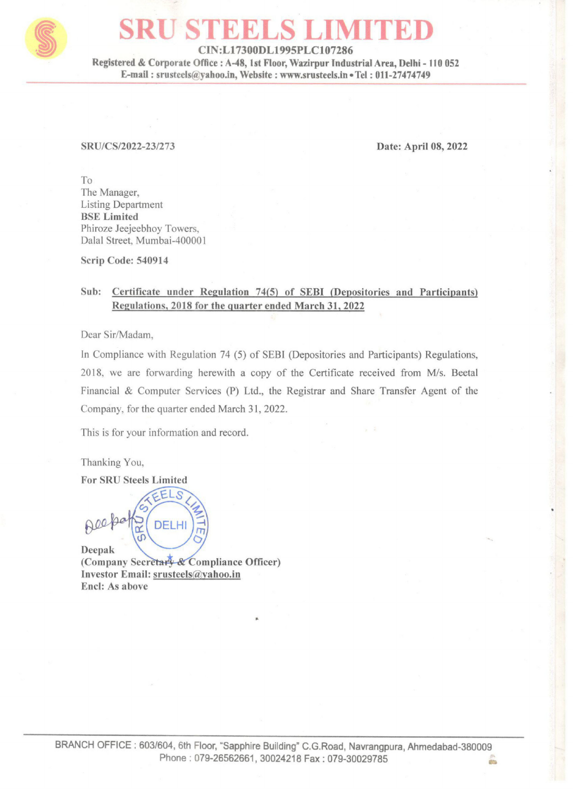

## SRU STEELS LIMITED

CIN:L17300DL1995PLC107286

Registered & Corporate Office : A-48, Ist Floor, Wazirpur Industrial Area, Delhi - 110 052 E-mail : srusteels@yahoo.in, Website : www.srusteels.in « Tel : 011-27474749 SRU STEEL<br>
CIN:L17300DL1<br>
Registered & Corporate Office : A-48, 1st Flo<br>
E-mail : srusteels@yahoo.in, Website :

## SRU/CS/2022-23/273 Date: April 08, 2022

To The Manager, Listing Department BSE Limited Phiroze Jeejeebhoy Towers, Dalal Street, Mumbai-400001

Scrip Code: 540914

## Sub: Certificate under Regulation 74(5) of SEBI (Depositories and Participants) Regulations, 2018 for the quarter ended March 31, 2022

Dear Sir/Madam,

In Compliance with Regulation 74 (5) of SEBI (Depositories and Participants) Regulations, 2018, we are forwarding herewith a copy of the Certificate received from M/s. Beetal Financial & Computer Services (P) Ltd., the Registrar and Share Transfer Agent of the Company, for the quarter ended March 31, 2022. Datal Street, Mumbai-400001<br>
Scrip Code: 540914<br>
Sub: Certificate under Regulation 74(5)<br>
Regulations, 2018 for the quarter en<br>
Dear Sir/Madam,<br>
In Compliance with Regulation 74 (5) of SE<br>
2018, we are forwarding herewith

This is for your information and record.

Thanking You,

For SRU Steels Limited

 $\theta$ eepak

(Company Secretary & Compliance Officer) Investor Email: srusteels@yahoo.in Encl: As above